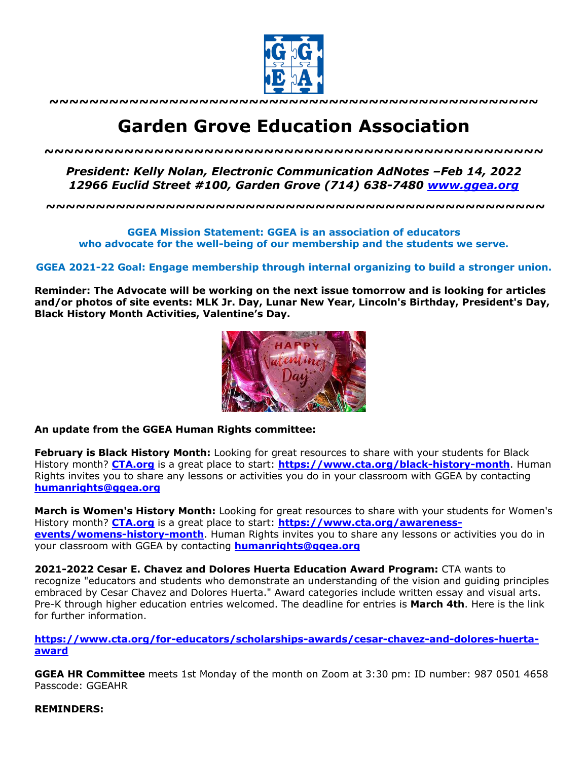

**~~~~~~~~~~~~~~~~~~~~~~~~~~~~~~~~~~~~~~~~~~~~~~~~~**

# **Garden Grove Education Association**

*~~~~~~~~~~~~~~~~~~~~~~~~~~~~~~~~~~~~~~~~~~~~~~~~~~*

*President: Kelly Nolan, Electronic Communication AdNotes –Feb 14, 2022 12966 Euclid Street #100, Garden Grove (714) 638-7480 www.ggea.org*

**~~~~~~~~~~~~~~~~~~~~~~~~~~~~~~~~~~~~~~~~~~~~~~~~~~**

## **GGEA Mission Statement: GGEA is an association of educators who advocate for the well-being of our membership and the students we serve.**

### **GGEA 2021-22 Goal: Engage membership through internal organizing to build a stronger union.**

**Reminder: The Advocate will be working on the next issue tomorrow and is looking for articles and/or photos of site events: MLK Jr. Day, Lunar New Year, Lincoln's Birthday, President's Day, Black History Month Activities, Valentine's Day.** 



#### **An update from the GGEA Human Rights committee:**

**February is Black History Month:** Looking for great resources to share with your students for Black History month? **CTA.org** is a great place to start: **https://www.cta.org/black-history-month**. Human Rights invites you to share any lessons or activities you do in your classroom with GGEA by contacting **humanrights@ggea.org**

**March is Women's History Month:** Looking for great resources to share with your students for Women's History month? **CTA.org** is a great place to start: **https://www.cta.org/awarenessevents/womens-history-month**. Human Rights invites you to share any lessons or activities you do in your classroom with GGEA by contacting **humanrights@ggea.org**

**2021-2022 Cesar E. Chavez and Dolores Huerta Education Award Program:** CTA wants to recognize "educators and students who demonstrate an understanding of the vision and guiding principles embraced by Cesar Chavez and Dolores Huerta." Award categories include written essay and visual arts. Pre-K through higher education entries welcomed. The deadline for entries is **March 4th**. Here is the link for further information.

**https://www.cta.org/for-educators/scholarships-awards/cesar-chavez-and-dolores-huertaaward**

**GGEA HR Committee** meets 1st Monday of the month on Zoom at 3:30 pm: ID number: 987 0501 4658 Passcode: GGEAHR

#### **REMINDERS:**